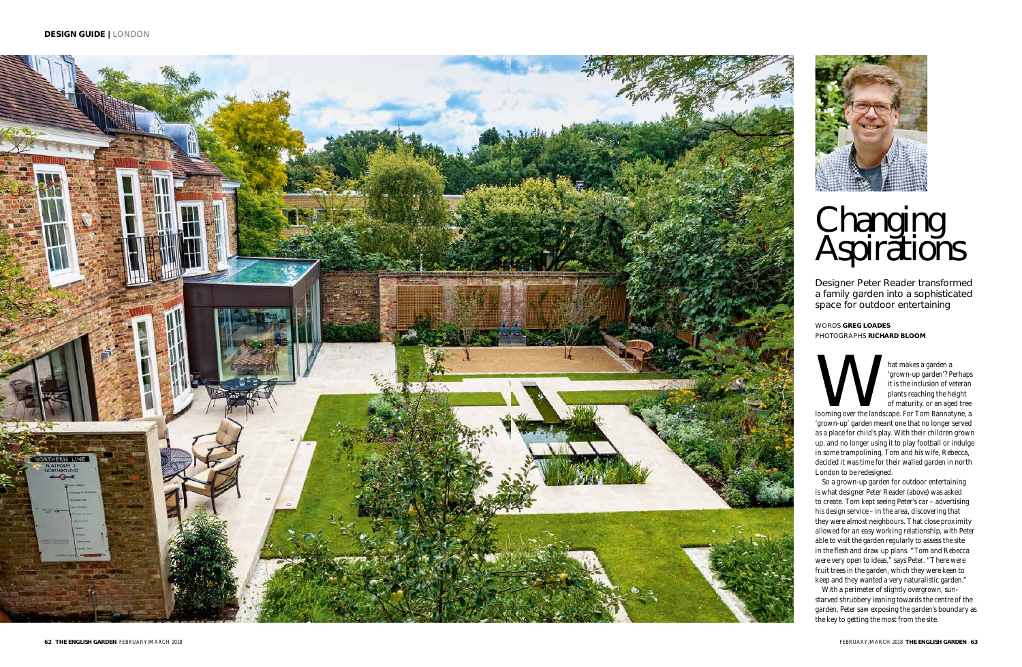



Mat makes a garden a 'grown-up garden'? Perhaps<br>
it is the inclusion of veteran<br>
plants reaching the height<br>
of maturity, or an aged tree<br>
looming over the landscape. For Tom Bannatyne, a 'grown-up garden'? Perhaps it is the inclusion of veteran plants reaching the height of maturity, or an aged tree

'grown-up' garden meant one that no longer served as a place for child's play. With their children grown up, and no longer using it to play football or indulge in some trampolining, Tom and his wife, Rebecca, decided it was time for their walled garden in north London to be redesigned.

So a grown-up garden for outdoor entertaining is what designer Peter Reader (above) was asked to create. Tom kept seeing Peter's car – advertising his design service – in the area, discovering that they were almost neighbours. That close proximity allowed for an easy working relationship, with Peter able to visit the garden regularly to assess the site in the flesh and draw up plans. "Tom and Rebecca were very open to ideas," says Peter. "There were fruit trees in the garden, which they were keen to keep and they wanted a very naturalistic garden."

With a perimeter of slightly overgrown, sunstarved shrubbery leaning towards the centre of the garden, Peter saw exposing the garden's boundary as the key to getting the most from the site.

Designer Peter Reader transformed a family garden into a sophisticated space for outdoor entertaining

# Changing Aspirations

WORDS **GREG LOADES** PHOTOGRAPHS **RICHARD BLOOM**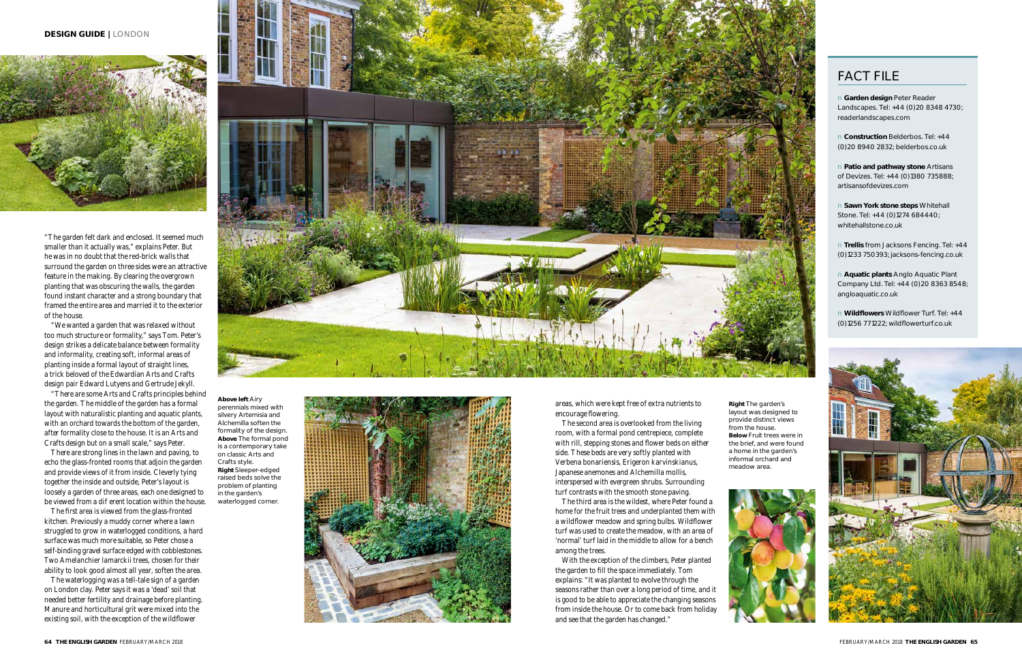"The garden felt dark and enclosed. It seemed much smaller than it actually was," explains Peter. But he was in no doubt that the red-brick walls that surround the garden on three sides were an attractive feature in the making. By clearing the overgrown planting that was obscuring the walls, the garden found instant character and a strong boundary that framed the entire area and married it to the exterior of the house.

There are strong lines in the lawn and paving, to echo the glass-fronted rooms that adjoin the garden and provide views of it from inside. Cleverly tying together the inside and outside, Peter's layout is loosely a garden of three areas, each one designed to be viewed from a di erent location within the house.

"We wanted a garden that was relaxed without too much structure or formality," says Tom. Peter's design strikes a delicate balance between formality and informality, creating soft, informal areas of planting inside a formal layout of straight lines, a trick beloved of the Edwardian Arts and Crafts design pair Edward Lutyens and Gertrude Jekyll.

"There are some Arts and Crafts principles behind the garden. The middle of the garden has a formal layout with naturalistic planting and aquatic plants, with an orchard towards the bottom of the garden, after formality close to the house. It is an Arts and Crafts design but on a small scale," says Peter.

The first area is viewed from the glass-fronted kitchen. Previously a muddy corner where a lawn struggled to grow in waterlogged conditions, a hard surface was much more suitable, so Peter chose a self-binding gravel surface edged with cobblestones. Two *Amelanchier lamarckii* trees, chosen for their ability to look good almost all year, soften the area.

The waterlogging was a tell-tale sign of a garden on London clay. Peter says it was a 'dead' soil that needed better fertility and drainage before planting. Manure and horticultural grit were mixed into the existing soil, with the exception of the wildflower



**Right** The garden's layout was designed to provide distinct views from the house. **Below** Fruit trees were in the brief, and were found a home in the garden's informal orchard and meadow area.



**Above left** Airy perennials mixed with silvery *Artemisia* and *Alchemilla* soften the formality of the design. **Above** The formal pond is a contemporary take on classic Arts and Crafts style. **Right** Sleeper-edged raised beds solve the problem of planting in the garden's waterlogged corner.



#### **DESIGN GUIDE |** LONDON



areas, which were kept free of extra nutrients to encourage flowering.

The second area is overlooked from the living room, with a formal pond centrepiece, complete with rill, stepping stones and flower beds on either side. These beds are very softly planted with *Verbena bonariensis*, *Erigeron karvinskianus*, Japanese anemones and *Alchemilla mollis*, interspersed with evergreen shrubs. Surrounding turf contrasts with the smooth stone paving.

The third area is the wildest, where Peter found a home for the fruit trees and underplanted them with a wildflower meadow and spring bulbs. Wildflower turf was used to create the meadow, with an area of 'normal' turf laid in the middle to allow for a bench among the trees.

With the exception of the climbers, Peter planted the garden to fill the space immediately. Tom explains: "It was planted to evolve through the seasons rather than over a long period of time, and it is good to be able to appreciate the changing seasons from inside the house. Or to come back from holiday and see that the garden has changed."

### FACT FILE

n **Garden design** Peter Reader Landscapes. Tel: +44 (0)20 8348 4730; readerlandscapes.com

n **Construction** Belderbos. Tel: +44 (0)20 8940 2832; belderbos.co.uk

n **Patio and pathway stone** Artisans of Devizes. Tel: +44 (0)1380 735888; artisansofdevizes.com

n **Sawn York stone steps** Whitehall Stone. Tel: +44 (0)1274 684440; whitehallstone.co.uk

n **Trellis** from Jacksons Fencing. Tel: +44 (0)1233 750393; jacksons-fencing.co.uk

n **Aquatic plants** Anglo Aquatic Plant Company Ltd. Tel: +44 (0)20 8363 8548; angloaquatic.co.uk

n **Wildflowers** Wildflower Turf. Tel: +44 (0)1256 771222; wildflowerturf.co.uk